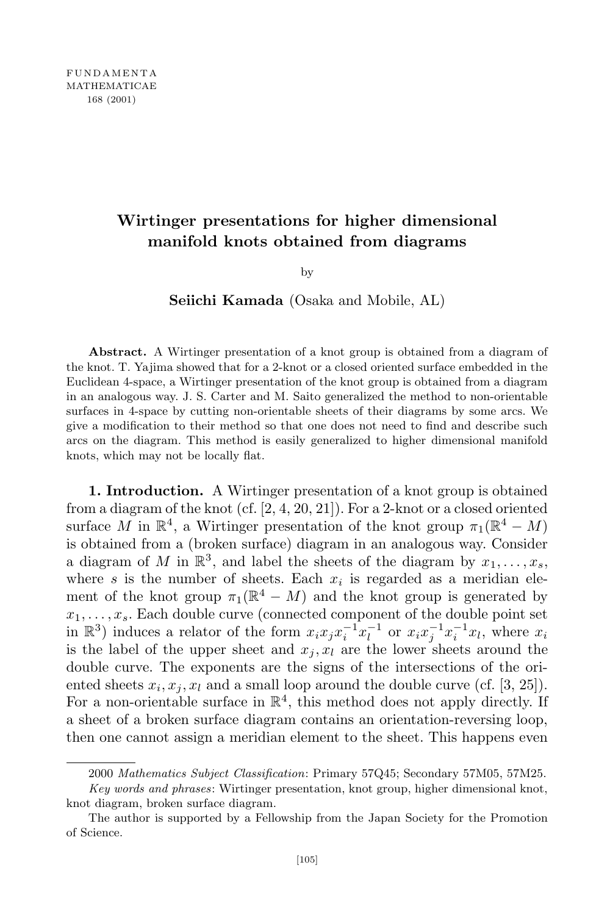## **Wirtinger presentations for higher dimensional manifold knots obtained from diagrams**

by

**Seiichi Kamada** (Osaka and Mobile, AL)

**Abstract.** A Wirtinger presentation of a knot group is obtained from a diagram of the knot. T. Yajima showed that for a 2-knot or a closed oriented surface embedded in the Euclidean 4-space, a Wirtinger presentation of the knot group is obtained from a diagram in an analogous way. J. S. Carter and M. Saito generalized the method to non-orientable surfaces in 4-space by cutting non-orientable sheets of their diagrams by some arcs. We give a modification to their method so that one does not need to find and describe such arcs on the diagram. This method is easily generalized to higher dimensional manifold knots, which may not be locally flat.

**1. Introduction.** A Wirtinger presentation of a knot group is obtained from a diagram of the knot (cf. [2, 4, 20, 21]). For a 2-knot or a closed oriented surface *M* in  $\mathbb{R}^4$ , a Wirtinger presentation of the knot group  $\pi_1(\mathbb{R}^4 - M)$ is obtained from a (broken surface) diagram in an analogous way. Consider a diagram of *M* in  $\mathbb{R}^3$ , and label the sheets of the diagram by  $x_1, \ldots, x_s$ , where  $s$  is the number of sheets. Each  $x_i$  is regarded as a meridian element of the knot group  $\pi_1(\mathbb{R}^4 - M)$  and the knot group is generated by  $x_1, \ldots, x_s$ . Each double curve (connected component of the double point set in  $\mathbb{R}^3$ ) induces a relator of the form  $x_i x_j x_i^{-1} x_l^{-1}$  or  $x_i x_j^{-1} x_i^{-1} x_l$ , where  $x_i$ is the label of the upper sheet and  $x_j$ ,  $x_l$  are the lower sheets around the double curve. The exponents are the signs of the intersections of the oriented sheets  $x_i, x_j, x_l$  and a small loop around the double curve (cf.  $[3, 25]$ ). For a non-orientable surface in  $\mathbb{R}^4$ , this method does not apply directly. If a sheet of a broken surface diagram contains an orientation-reversing loop, then one cannot assign a meridian element to the sheet. This happens even

<sup>2000</sup> *Mathematics Subject Classification*: Primary 57Q45; Secondary 57M05, 57M25.

*Key words and phrases*: Wirtinger presentation, knot group, higher dimensional knot, knot diagram, broken surface diagram.

The author is supported by a Fellowship from the Japan Society for the Promotion of Science.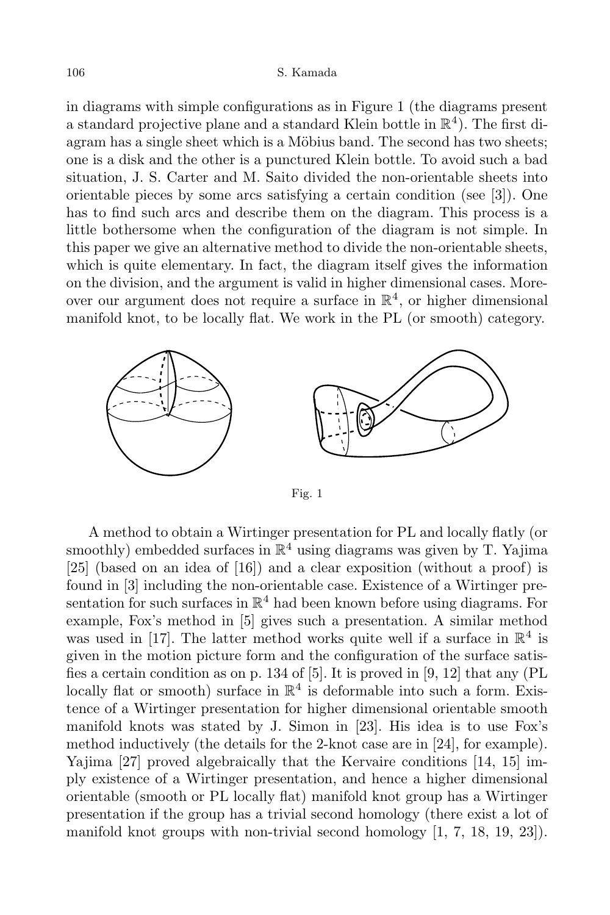in diagrams with simple configurations as in Figure 1 (the diagrams present a standard projective plane and a standard Klein bottle in  $\mathbb{R}^4$ ). The first diagram has a single sheet which is a Möbius band. The second has two sheets; one is a disk and the other is a punctured Klein bottle. To avoid such a bad situation, J. S. Carter and M. Saito divided the non-orientable sheets into orientable pieces by some arcs satisfying a certain condition (see [3]). One has to find such arcs and describe them on the diagram. This process is a little bothersome when the configuration of the diagram is not simple. In this paper we give an alternative method to divide the non-orientable sheets, which is quite elementary. In fact, the diagram itself gives the information on the division, and the argument is valid in higher dimensional cases. Moreover our argument does not require a surface in  $\mathbb{R}^4$ , or higher dimensional manifold knot, to be locally flat. We work in the PL (or smooth) category.



Fig. 1

A method to obtain a Wirtinger presentation for PL and locally flatly (or smoothly) embedded surfaces in  $\mathbb{R}^4$  using diagrams was given by T. Yajima [25] (based on an idea of [16]) and a clear exposition (without a proof) is found in [3] including the non-orientable case. Existence of a Wirtinger presentation for such surfaces in  $\mathbb{R}^4$  had been known before using diagrams. For example, Fox's method in [5] gives such a presentation. A similar method was used in [17]. The latter method works quite well if a surface in  $\mathbb{R}^4$  is given in the motion picture form and the configuration of the surface satisfies a certain condition as on p. 134 of [5]. It is proved in [9, 12] that any (PL locally flat or smooth) surface in  $\mathbb{R}^4$  is deformable into such a form. Existence of a Wirtinger presentation for higher dimensional orientable smooth manifold knots was stated by J. Simon in [23]. His idea is to use Fox's method inductively (the details for the 2-knot case are in [24], for example). Yajima [27] proved algebraically that the Kervaire conditions [14, 15] imply existence of a Wirtinger presentation, and hence a higher dimensional orientable (smooth or PL locally flat) manifold knot group has a Wirtinger presentation if the group has a trivial second homology (there exist a lot of manifold knot groups with non-trivial second homology [1, 7, 18, 19, 23]).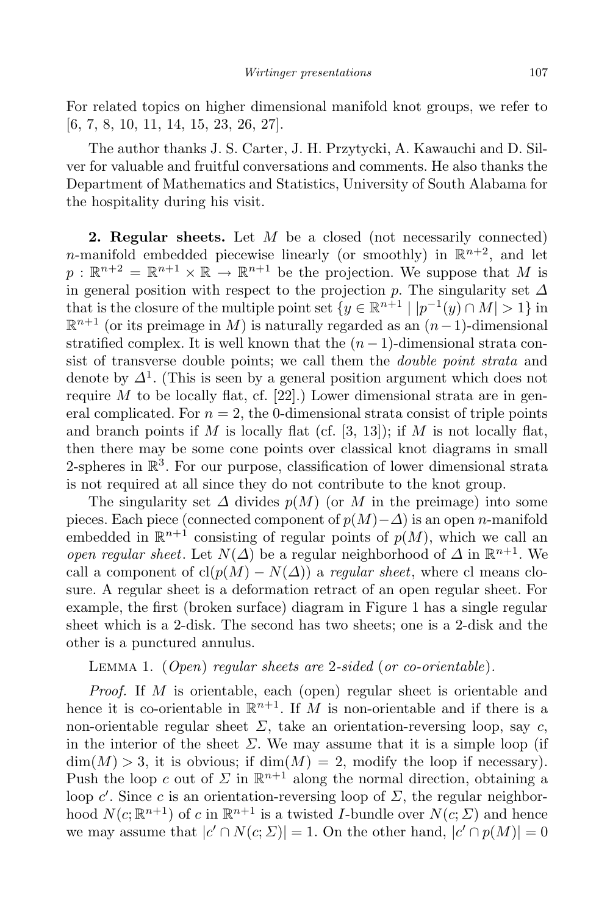For related topics on higher dimensional manifold knot groups, we refer to [6, 7, 8, 10, 11, 14, 15, 23, 26, 27].

The author thanks J. S. Carter, J. H. Przytycki, A. Kawauchi and D. Silver for valuable and fruitful conversations and comments. He also thanks the Department of Mathematics and Statistics, University of South Alabama for the hospitality during his visit.

**2. Regular sheets.** Let *M* be a closed (not necessarily connected) *n*-manifold embedded piecewise linearly (or smoothly) in  $\mathbb{R}^{n+2}$ , and let  $p: \mathbb{R}^{n+2} = \mathbb{R}^{n+1} \times \mathbb{R} \to \mathbb{R}^{n+1}$  be the projection. We suppose that *M* is in general position with respect to the projection *p*. The singularity set *∆* that is the closure of the multiple point set  $\{y \in \mathbb{R}^{n+1} \mid |p^{-1}(y) \cap M| > 1\}$  in R *<sup>n</sup>*+1 (or its preimage in *<sup>M</sup>*) is naturally regarded as an (*n−*1)-dimensional stratified complex. It is well known that the  $(n-1)$ -dimensional strata consist of transverse double points; we call them the *double point strata* and denote by *∆*<sup>1</sup> . (This is seen by a general position argument which does not require  $M$  to be locally flat, cf. [22].) Lower dimensional strata are in general complicated. For  $n = 2$ , the 0-dimensional strata consist of triple points and branch points if  $M$  is locally flat (cf. [3, 13]); if  $M$  is not locally flat, then there may be some cone points over classical knot diagrams in small 2-spheres in  $\mathbb{R}^3$ . For our purpose, classification of lower dimensional strata is not required at all since they do not contribute to the knot group.

The singularity set  $\Delta$  divides  $p(M)$  (or  $M$  in the preimage) into some pieces. Each piece (connected component of  $p(M) - \Delta$ ) is an open *n*-manifold embedded in  $\mathbb{R}^{n+1}$  consisting of regular points of  $p(M)$ , which we call an *open regular sheet*. Let  $N(\Delta)$  be a regular neighborhood of  $\Delta$  in  $\mathbb{R}^{n+1}$ . We call a component of  $cl(p(M) - N(\Delta))$  a *regular sheet*, where cl means closure. A regular sheet is a deformation retract of an open regular sheet. For example, the first (broken surface) diagram in Figure 1 has a single regular sheet which is a 2-disk. The second has two sheets; one is a 2-disk and the other is a punctured annulus.

## Lemma 1. (*Open*) *regular sheets are* 2*-sided* (*or co-orientable*)*.*

*Proof.* If *M* is orientable, each (open) regular sheet is orientable and hence it is co-orientable in  $\mathbb{R}^{n+1}$ . If *M* is non-orientable and if there is a non-orientable regular sheet  $\Sigma$ , take an orientation-reversing loop, say *c*, in the interior of the sheet  $\Sigma$ . We may assume that it is a simple loop (if  $\dim(M) > 3$ , it is obvious; if  $\dim(M) = 2$ , modify the loop if necessary). Push the loop *c* out of  $\Sigma$  in  $\mathbb{R}^{n+1}$  along the normal direction, obtaining a loop *c'*. Since *c* is an orientation-reversing loop of  $\Sigma$ , the regular neighborhood  $N(c; \mathbb{R}^{n+1})$  of *c* in  $\mathbb{R}^{n+1}$  is a twisted *I*-bundle over  $N(c; \Sigma)$  and hence we may assume that  $|c' \cap N(c; \Sigma)| = 1$ . On the other hand,  $|c' \cap p(M)| = 0$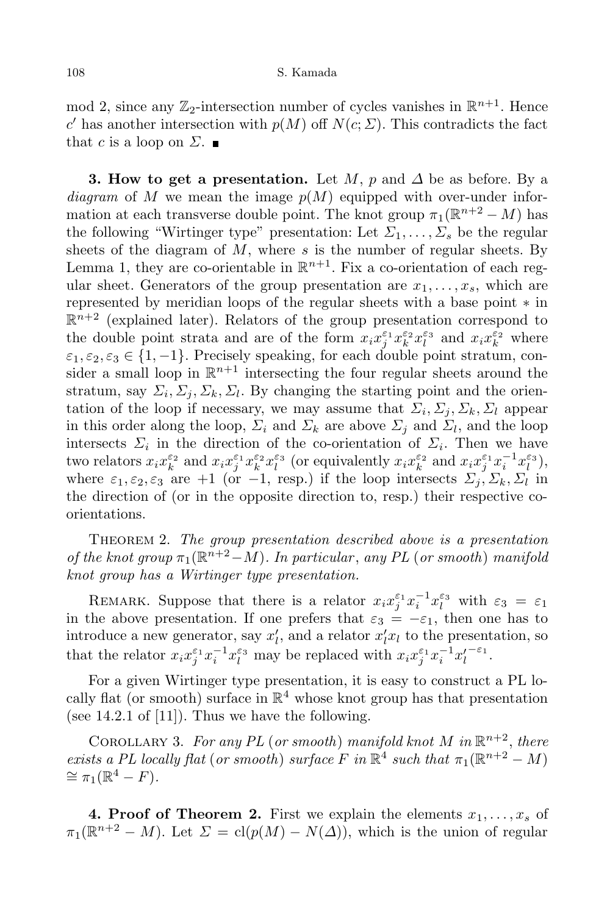mod 2, since any  $\mathbb{Z}_2$ -intersection number of cycles vanishes in  $\mathbb{R}^{n+1}$ . Hence  $c'$  has another intersection with  $p(M)$  off  $N(c; \Sigma)$ . This contradicts the fact that *c* is a loop on  $\Sigma$ .

**3. How** to get a presentation. Let *M*, *p* and  $\Delta$  be as before. By a *diagram* of *M* we mean the image  $p(M)$  equipped with over-under information at each transverse double point. The knot group  $\pi_1(\mathbb{R}^{n+2} - M)$  has the following "Wirtinger type" presentation: Let  $\Sigma_1, \ldots, \Sigma_s$  be the regular sheets of the diagram of *M*, where *s* is the number of regular sheets. By Lemma 1, they are co-orientable in  $\mathbb{R}^{n+1}$ . Fix a co-orientation of each regular sheet. Generators of the group presentation are  $x_1, \ldots, x_s$ , which are represented by meridian loops of the regular sheets with a base point *∗* in  $\mathbb{R}^{n+2}$  (explained later). Relators of the group presentation correspond to the double point strata and are of the form  $x_i x_j^{\varepsilon_1} x_k^{\varepsilon_2} x_l^{\varepsilon_3}$  and  $x_i x_k^{\varepsilon_2}$  where  $\varepsilon_1, \varepsilon_2, \varepsilon_3 \in \{1, -1\}$ . Precisely speaking, for each double point stratum, consider a small loop in  $\mathbb{R}^{n+1}$  intersecting the four regular sheets around the stratum, say  $\Sigma_i$ ,  $\Sigma_j$ ,  $\Sigma_k$ ,  $\Sigma_l$ . By changing the starting point and the orientation of the loop if necessary, we may assume that  $\Sigma_i$ ,  $\Sigma_j$ ,  $\Sigma_k$ ,  $\Sigma_l$  appear in this order along the loop,  $\Sigma_i$  and  $\Sigma_k$  are above  $\Sigma_j$  and  $\Sigma_l$ , and the loop intersects  $\Sigma_i$  in the direction of the co-orientation of  $\Sigma_i$ . Then we have two relators  $x_i x_k^{\varepsilon_2}$  and  $x_i x_j^{\varepsilon_1} x_k^{\varepsilon_2} x_l^{\varepsilon_3}$  (or equivalently  $x_i x_k^{\varepsilon_2}$  and  $x_i x_j^{\varepsilon_1} x_i^{-1} x_l^{\varepsilon_3}$ ), where  $\varepsilon_1, \varepsilon_2, \varepsilon_3$  are +1 (or -1, resp.) if the loop intersects  $\Sigma_j, \Sigma_k, \Sigma_l$  in the direction of (or in the opposite direction to, resp.) their respective coorientations.

Theorem 2. *The group presentation described above is a presentation of* the knot group  $\pi_1(\mathbb{R}^{n+2}-M)$ *. In particular, any PL* (*or smooth*) *manifold knot group has a Wirtinger type presentation.*

REMARK. Suppose that there is a relator  $x_i x_j^{\varepsilon_1} x_i^{-1} x_l^{\varepsilon_3}$  with  $\varepsilon_3 = \varepsilon_1$ in the above presentation. If one prefers that  $\varepsilon_3 = -\varepsilon_1$ , then one has to introduce a new generator, say  $x'_{l}$ , and a relator  $x'_{l}x_{l}$  to the presentation, so that the relator  $x_i x_j^{\varepsilon_1} x_i^{-1} x_l^{\varepsilon_3}$  may be replaced with  $x_i x_j^{\varepsilon_1} x_i^{-1} x_l'^{-\varepsilon_1}$ .

For a given Wirtinger type presentation, it is easy to construct a PL locally flat (or smooth) surface in  $\mathbb{R}^4$  whose knot group has that presentation (see 14.2.1 of [11]). Thus we have the following.

COROLLARY 3. For any PL (or smooth) manifold knot  $M$  in  $\mathbb{R}^{n+2}$ , there *exists a PL locally flat* (*or smooth*) *surface F in*  $\mathbb{R}^4$  *such that*  $\pi_1(\mathbb{R}^{n+2} - M)$  $\cong$   $\pi_1(\mathbb{R}^4 - F)$ .

**4. Proof** of **Theorem 2.** First we explain the elements  $x_1, \ldots, x_s$  of  $\pi_1(\mathbb{R}^{n+2} - M)$ . Let  $\Sigma = \text{cl}(p(M) - N(\Delta))$ , which is the union of regular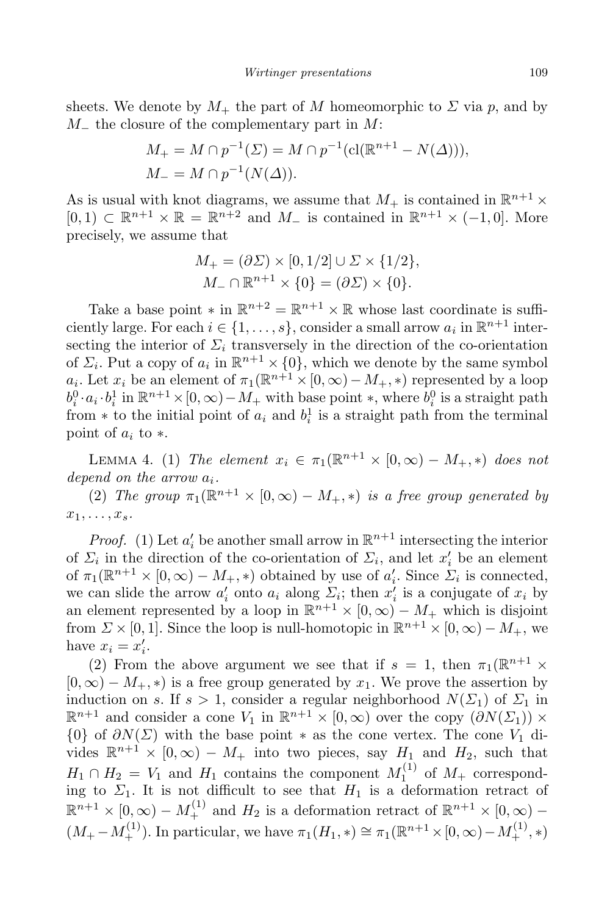sheets. We denote by  $M_+$  the part of *M* homeomorphic to  $\Sigma$  via  $p$ , and by *M<sup>−</sup>* the closure of the complementary part in *M*:

$$
M_{+} = M \cap p^{-1}(\Sigma) = M \cap p^{-1}(\text{cl}(\mathbb{R}^{n+1} - N(\Delta))),
$$
  

$$
M_{-} = M \cap p^{-1}(N(\Delta)).
$$

As is usual with knot diagrams, we assume that  $M_+$  is contained in  $\mathbb{R}^{n+1} \times$ [0, 1) ⊂  $\mathbb{R}^{n+1} \times \mathbb{R} = \mathbb{R}^{n+2}$  and  $M$ <sub>−</sub> is contained in  $\mathbb{R}^{n+1} \times (-1,0]$ . More precisely, we assume that

$$
M_{+} = (\partial \Sigma) \times [0, 1/2] \cup \Sigma \times \{1/2\},
$$
  

$$
M_{-} \cap \mathbb{R}^{n+1} \times \{0\} = (\partial \Sigma) \times \{0\}.
$$

Take a base point  $*$  in  $\mathbb{R}^{n+2} = \mathbb{R}^{n+1} \times \mathbb{R}$  whose last coordinate is sufficiently large. For each  $i \in \{1, \ldots, s\}$ , consider a small arrow  $a_i$  in  $\mathbb{R}^{n+1}$  intersecting the interior of  $\Sigma_i$  transversely in the direction of the co-orientation of  $\Sigma_i$ . Put a copy of  $a_i$  in  $\mathbb{R}^{n+1} \times \{0\}$ , which we denote by the same symbol  $a_i$ . Let  $x_i$  be an element of  $\pi_1(\mathbb{R}^{n+1} \times [0, \infty) - M_+, *)$  represented by a loop  $b_i^0 \cdot a_i \cdot b_i^1$  in  $\mathbb{R}^{n+1} \times [0, \infty) - M_+$  with base point  $*$ , where  $b_i^0$  is a straight path from  $*$  to the initial point of  $a_i$  and  $b_i^1$  is a straight path from the terminal point of *a<sup>i</sup>* to *∗*.

LEMMA 4. (1) *The element*  $x_i \in \pi_1(\mathbb{R}^{n+1} \times [0, \infty) - M_+, *)$  does not *depend on the arrow ai.*

(2) *The group*  $\pi_1(\mathbb{R}^{n+1} \times [0, \infty) - M_+, *)$  *is a free group generated by*  $x_1, \ldots, x_s$ .

*Proof.* (1) Let  $a'_i$  be another small arrow in  $\mathbb{R}^{n+1}$  intersecting the interior of  $\Sigma_i$  in the direction of the co-orientation of  $\Sigma_i$ , and let  $x_i'$  be an element of  $\pi_1(\mathbb{R}^{n+1} \times [0, \infty) - M_+, *)$  obtained by use of  $a'_i$ . Since  $\Sigma_i$  is connected, we can slide the arrow  $a'_i$  onto  $a_i$  along  $\Sigma_i$ ; then  $x'_i$  is a conjugate of  $x_i$  by an element represented by a loop in  $\mathbb{R}^{n+1} \times [0, \infty) - M_+$  which is disjoint from  $\Sigma \times [0, 1]$ . Since the loop is null-homotopic in  $\mathbb{R}^{n+1} \times [0, \infty) - M_+$ , we have  $x_i = x'_i$ .

(2) From the above argument we see that if  $s = 1$ , then  $\pi_1(\mathbb{R}^{n+1} \times$  $[0, \infty) - M_+$ ,  $*$ ) is a free group generated by  $x_1$ . We prove the assertion by induction on *s*. If  $s > 1$ , consider a regular neighborhood  $N(\Sigma_1)$  of  $\Sigma_1$  in  $\mathbb{R}^{n+1}$  and consider a cone  $V_1$  in  $\mathbb{R}^{n+1} \times [0, \infty)$  over the copy  $(\partial N(\Sigma_1)) \times$ *{*0*}* of  $\partial N(\Sigma)$  with the base point  $*$  as the cone vertex. The cone *V*<sub>1</sub> divides  $\mathbb{R}^{n+1} \times [0, \infty) - M_+$  into two pieces, say  $H_1$  and  $H_2$ , such that  $H_1 \cap H_2 = V_1$  and  $H_1$  contains the component  $M_1^{(1)}$  $1^{(1)}$  of  $M_+$  corresponding to  $\Sigma_1$ . It is not difficult to see that  $H_1$  is a deformation retract of  $\mathbb{R}^{n+1} \times [0, \infty) - M_+^{(1)}$  and  $H_2$  is a deformation retract of  $\mathbb{R}^{n+1} \times [0, \infty) (M_{+} - M_{+}^{(1)})$ . In particular, we have  $\pi_1(H_1, *) \cong \pi_1(\mathbb{R}^{n+1} \times [0, \infty) - M_{+}^{(1)}, *)$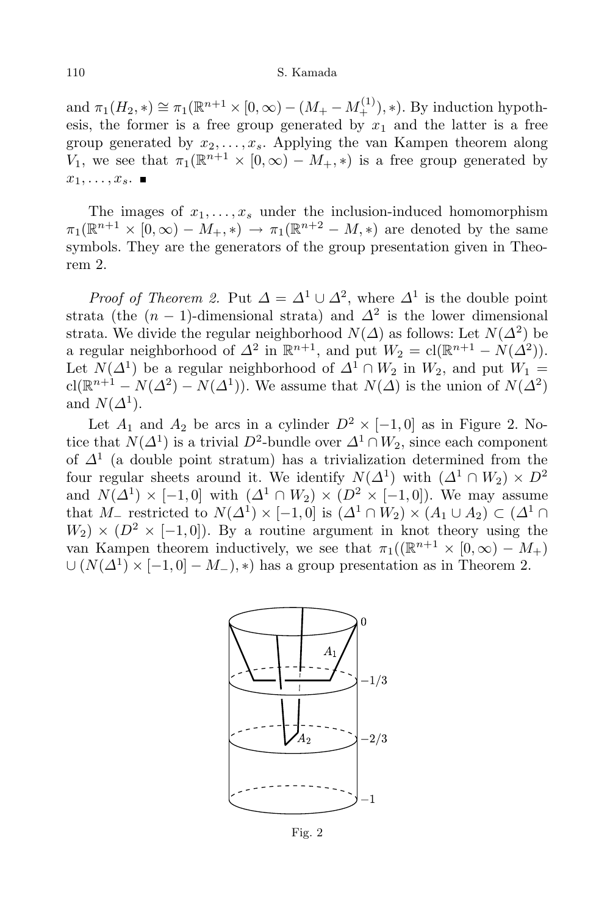## 110 S. Kamada

and  $\pi_1(H_2, *) \cong \pi_1(\mathbb{R}^{n+1} \times [0, \infty) - (M_+ - M_+^{(1)}), *)$ . By induction hypothesis, the former is a free group generated by  $x_1$  and the latter is a free group generated by  $x_2, \ldots, x_s$ . Applying the van Kampen theorem along *V*<sub>1</sub>, we see that  $\pi_1(\mathbb{R}^{n+1} \times [0, \infty) - M_+, *)$  is a free group generated by  $x_1, \ldots, x_s$ .

The images of  $x_1, \ldots, x_s$  under the inclusion-induced homomorphism  $\pi_1(\mathbb{R}^{n+1} \times [0, \infty) - M_+, *) \to \pi_1(\mathbb{R}^{n+2} - M, *)$  are denoted by the same symbols. They are the generators of the group presentation given in Theorem 2.

*Proof of Theorem 2*. Put  $\Delta = \Delta^1 \cup \Delta^2$ , where  $\Delta^1$  is the double point strata (the  $(n-1)$ -dimensional strata) and  $\Delta^2$  is the lower dimensional strata. We divide the regular neighborhood  $N(\Delta)$  as follows: Let  $N(\Delta^2)$  be a regular neighborhood of  $\Delta^2$  in  $\mathbb{R}^{n+1}$ , and put  $W_2 = \text{cl}(\mathbb{R}^{n+1} - N(\Delta^2)).$ Let  $N(\Delta^1)$  be a regular neighborhood of  $\Delta^1 \cap W_2$  in  $W_2$ , and put  $W_1 =$ cl( $\mathbb{R}^{n+1}$  *− N*( $\Delta$ <sup>2</sup>) − *N*( $\Delta$ <sup>1</sup>)). We assume that *N*( $\Delta$ ) is the union of *N*( $\Delta$ <sup>2</sup>) and  $N(\Delta^1)$ .

Let  $A_1$  and  $A_2$  be arcs in a cylinder  $D^2 \times [-1,0]$  as in Figure 2. Notice that  $N(\Delta^1)$  is a trivial  $D^2$ -bundle over  $\Delta^1 \cap W_2$ , since each component of *∆*<sup>1</sup> (a double point stratum) has a trivialization determined from the four regular sheets around it. We identify  $N(\Delta^1)$  with  $(\Delta^1 \cap W_2) \times D^2$ and  $N(\Delta^1) \times [-1,0]$  with  $(\Delta^1 \cap W_2) \times (D^2 \times [-1,0])$ . We may assume that *M*<sub>−</sub> restricted to  $N(\Delta^1) \times [-1, 0]$  is  $(\Delta^1 \cap W_2) \times (A_1 \cup A_2) \subset (\Delta^1 \cap W_1)$  $W_2$ )  $\times$  ( $D^2$   $\times$  [−1,0]). By a routine argument in knot theory using the van Kampen theorem inductively, we see that  $\pi_1((\mathbb{R}^{n+1} \times [0, \infty) - M_+)$ *<sup>∪</sup>* (*N*(*∆*<sup>1</sup> ) *×* [*−*1*,* 0] *− M−*)*, ∗*) has a group presentation as in Theorem 2.



Fig. 2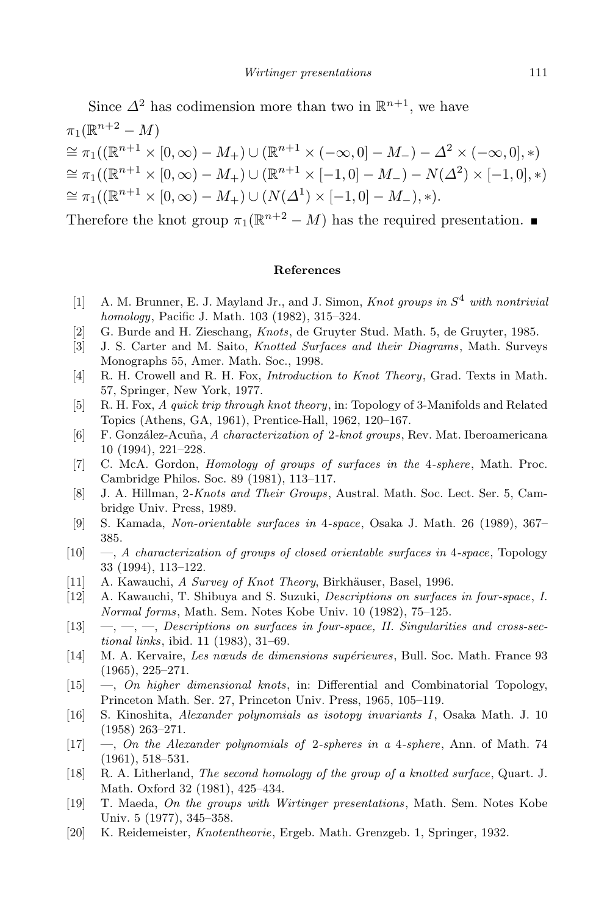Since  $\Delta^2$  has codimension more than two in  $\mathbb{R}^{n+1}$ , we have  $\pi_1(\mathbb{R}^{n+2} - M)$  $\cong \pi_1((\mathbb{R}^{n+1} \times [0, \infty) - M_+) \cup (\mathbb{R}^{n+1} \times (-\infty, 0] - M_-) - \Delta^2 \times (-\infty, 0], *)$  $\cong \pi_1((\mathbb{R}^{n+1}\times[0,\infty)-M_+) \cup (\mathbb{R}^{n+1}\times[-1,0]-M_-)-N(\Delta^2)\times[-1,0],*)$  $\cong \pi_1((\mathbb{R}^{n+1} \times [0, \infty) - M_+) \cup (N(\Delta^1) \times [-1, 0] - M_-), *).$ 

Therefore the knot group  $\pi_1(\mathbb{R}^{n+2} - M)$  has the required presentation.

## **References**

- [1] A. M. Brunner, E. J. Mayland Jr., and J. Simon, *Knot groups in S* <sup>4</sup> *with nontrivial homology*, Pacific J. Math. 103 (1982), 315–324.
- [2] G. Burde and H. Zieschang, *Knots*, de Gruyter Stud. Math. 5, de Gruyter, 1985.
- [3] J. S. Carter and M. Saito, *Knotted Surfaces and their Diagrams*, Math. Surveys Monographs 55, Amer. Math. Soc., 1998.
- [4] R. H. Crowell and R. H. Fox, *Introduction to Knot Theory*, Grad. Texts in Math. 57, Springer, New York, 1977.
- [5] R. H. Fox, *A quick trip through knot theory*, in: Topology of 3-Manifolds and Related Topics (Athens, GA, 1961), Prentice-Hall, 1962, 120–167.
- [6] F. Gonz´alez-Acuna, ˜ *A characterization of* 2*-knot groups*, Rev. Mat. Iberoamericana 10 (1994), 221–228.
- [7] C. McA. Gordon, *Homology of groups of surfaces in the* 4*-sphere*, Math. Proc. Cambridge Philos. Soc. 89 (1981), 113–117.
- [8] J. A. Hillman, 2*-Knots and Their Groups*, Austral. Math. Soc. Lect. Ser. 5, Cambridge Univ. Press, 1989.
- [9] S. Kamada, *Non-orientable surfaces in* 4*-space*, Osaka J. Math. 26 (1989), 367– 385.
- [10] —, *A characterization of groups of closed orientable surfaces in* 4*-space*, Topology 33 (1994), 113–122.
- [11] A. Kawauchi, *A Survey of Knot Theory*, Birkhäuser, Basel, 1996.
- [12] A. Kawauchi, T. Shibuya and S. Suzuki, *Descriptions on surfaces in four-space*, *I. Normal forms*, Math. Sem. Notes Kobe Univ. 10 (1982), 75–125.
- [13] —, —, —, *Descriptions on surfaces in four-space, II. Singularities and cross-sectional links*, ibid. 11 (1983), 31–69.
- [14] M. A. Kervaire, *Les nœuds de dimensions sup´erieures*, Bull. Soc. Math. France 93 (1965), 225–271.
- [15] —, *On higher dimensional knots*, in: Differential and Combinatorial Topology, Princeton Math. Ser. 27, Princeton Univ. Press, 1965, 105–119.
- [16] S. Kinoshita, *Alexander polynomials as isotopy invariants I*, Osaka Math. J. 10 (1958) 263–271.
- [17] —, *On the Alexander polynomials of* 2*-spheres in a* 4*-sphere*, Ann. of Math. 74 (1961), 518–531.
- [18] R. A. Litherland, *The second homology of the group of a knotted surface*, Quart. J. Math. Oxford 32 (1981), 425–434.
- [19] T. Maeda, *On the groups with Wirtinger presentations*, Math. Sem. Notes Kobe Univ. 5 (1977), 345–358.
- [20] K. Reidemeister, *Knotentheorie*, Ergeb. Math. Grenzgeb. 1, Springer, 1932.